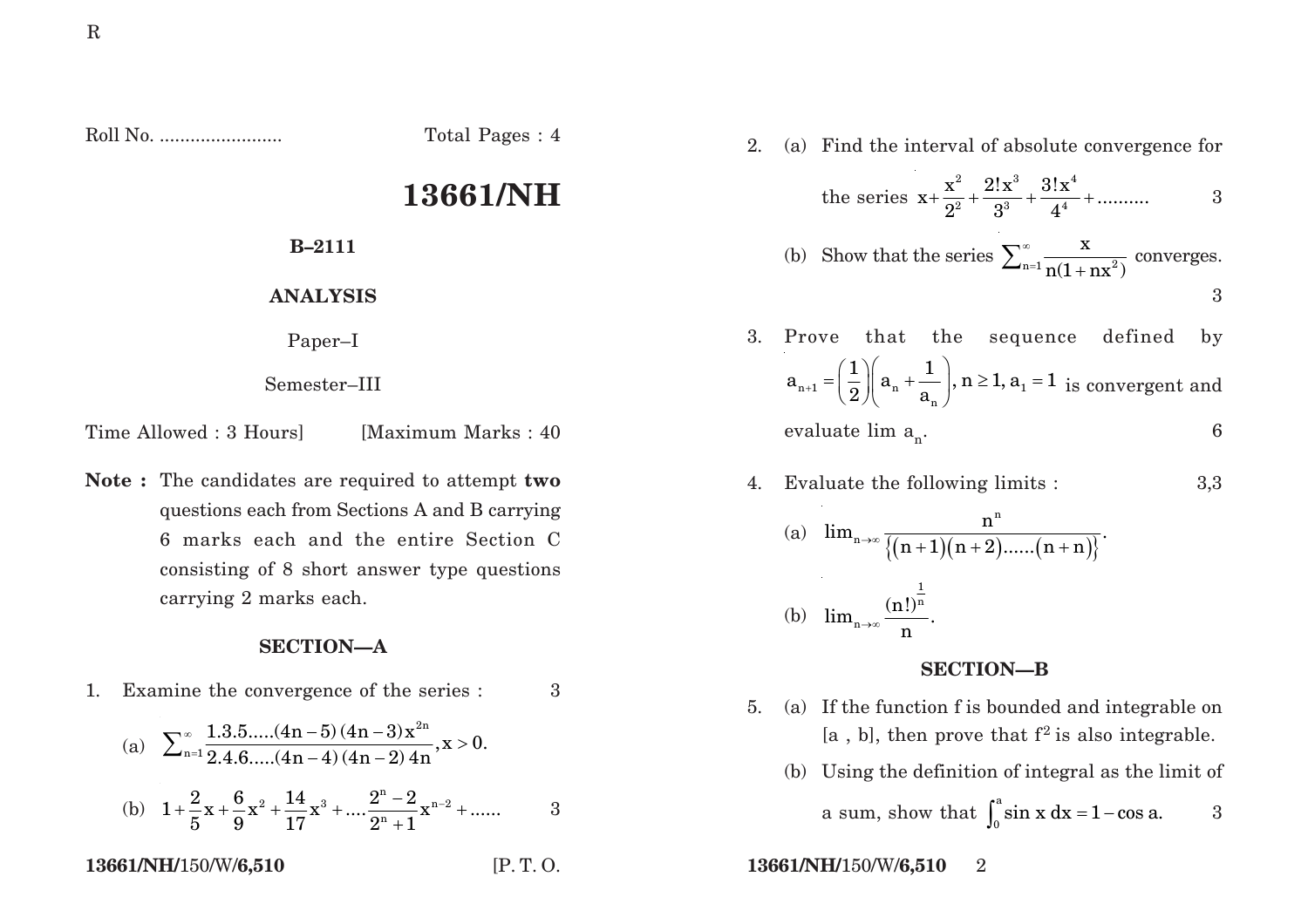Roll No. ........................ Total Pages : 4

## **13661/NH**

**B–2111**

**ANALYSIS**

Paper–I

Semester–III

Time Allowed : 3 Hours [Maximum Marks : 40]

**Note :** The candidates are required to attempt **two** questions each from Sections A and B carrying 6 marks each and the entire Section C consisting of 8 short answer type questions carrying 2 marks each.

## **SECTION—A**

- 1. Examine the convergence of the series : 3
	- (a) 2n n=1  $\sum_{\rm n=1}^{\infty} \frac{1.3.5.....(4\rm n-5) \, (4\rm n-3) \, x^{\rm 2n}}{2.4.6.....(4\rm n-4) \, (4\rm n-2) \, 4\rm n}, {\rm x} > 0.$

(b) 
$$
1 + \frac{2}{5}x + \frac{6}{9}x^2 + \frac{14}{17}x^3 + \dots + \frac{2^n - 2}{2^n + 1}x^{n-2} + \dots
$$
 3

2. (a) Find the interval of absolute convergence for

the series 
$$
x + \frac{x^2}{2^2} + \frac{2!x^3}{3^3} + \frac{3!x^4}{4^4} + \dots
$$
 3

(b) Show that the series 
$$
\sum_{n=1}^{\infty} \frac{x}{n(1 + nx^2)}
$$
 converges.

- 3. Prove that the sequence defined by <sup>n</sup> 1 <sup>n</sup> 1 n  $a_{n+1} = \left(\frac{1}{2}\right) \left(a_n + \frac{1}{a_n}\right), n \ge 1, a_1 = 1$  is convergent and evaluate  $\lim_{n \to \infty} a_n$ . 6
- 4. Evaluate the following limits : 3,3

(a) 
$$
\lim_{n \to \infty} \frac{n^n}{\{(n+1)(n+2)\dots(n+n)\}}
$$
  
(b)  $\lim_{n \to \infty} \frac{(n!)^{\frac{1}{n}}}{n}$ .

## **SECTION—B**

- 5. (a) If the function f is bounded and integrable on  $[a, b]$ , then prove that  $f^2$  is also integrable.
	- (b) Using the definition of integral as the limit of a sum, show that  $\int_{a}^{a}$  $\int_0^a \sin x \, dx = 1 - \cos a.$  3
- **13661/NH/**150/W/**6,510** [P. T. O. **13661/NH/**150/W/**6,510** 2